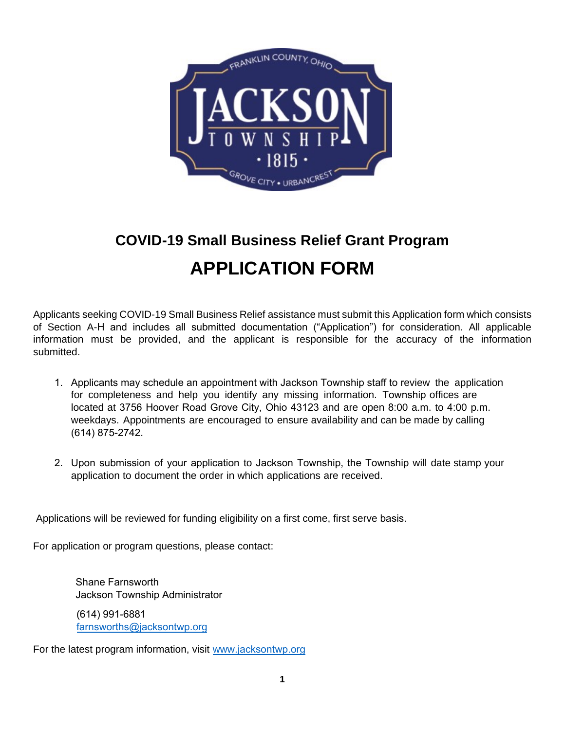

# **COVID-19 Small Business Relief Grant Program APPLICATION FORM**

Applicants seeking COVID-19 Small Business Relief assistance must submit this Application form which consists of Section A-H and includes all submitted documentation ("Application") for consideration. All applicable information must be provided, and the applicant is responsible for the accuracy of the information submitted.

- 1. Applicants may schedule an appointment with Jackson Township staff to review the application for completeness and help you identify any missing information. Township offices are located at 3756 Hoover Road Grove City, Ohio 43123 and are open 8:00 a.m. to 4:00 p.m. weekdays. Appointments are encouraged to ensure availability and can be made by calling (614) 875-2742.
- 2. Upon submission of your application to Jackson Township, the Township will date stamp your application to document the order in which applications are received.

Applications will be reviewed for funding eligibility on a first come, first serve basis.

For application or program questions, please contact:

Shane Farnsworth Jackson Township Administrator (614) 991-6881 [farnsworths@jacksontwp](mailto:will@vandaliabutlerchamber.org).org

For the latest program information, visit www.[jacksontwp.org](http://www.vandaliaohio.org/smallbizrelief)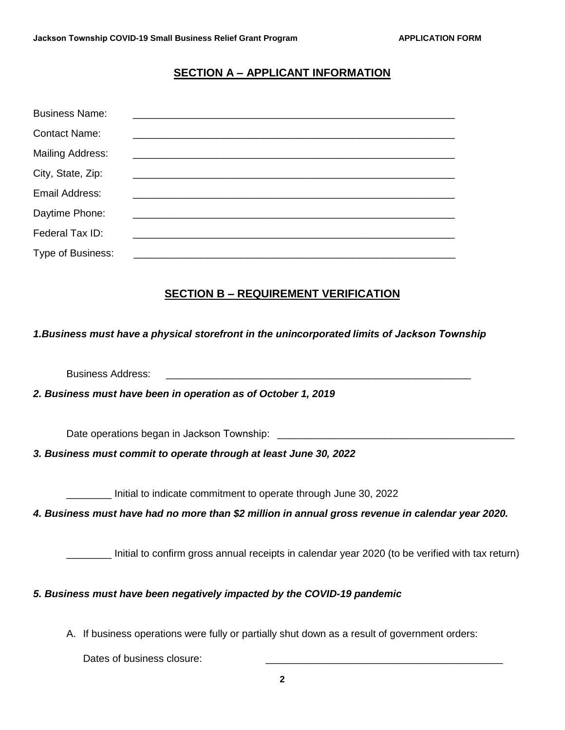#### **SECTION A – APPLICANT INFORMATION**

| <b>Business Name:</b>   |  |
|-------------------------|--|
| <b>Contact Name:</b>    |  |
| <b>Mailing Address:</b> |  |
| City, State, Zip:       |  |
| Email Address:          |  |
| Daytime Phone:          |  |
| Federal Tax ID:         |  |
| Type of Business:       |  |

#### **SECTION B – REQUIREMENT VERIFICATION**

#### *1.Business must have a physical storefront in the unincorporated limits of Jackson Township*

Business Address:

*2. Business must have been in operation as of October 1, 2019*

Date operations began in Jackson Township: \_\_\_\_\_\_\_\_\_\_\_\_\_\_\_\_\_\_\_\_\_\_\_\_\_\_\_\_\_\_\_\_\_\_\_\_\_\_\_\_\_\_

*3. Business must commit to operate through at least June 30, 2022*

\_\_\_\_\_\_\_\_ Initial to indicate commitment to operate through June 30, 2022

*4. Business must have had no more than \$2 million in annual gross revenue in calendar year 2020.*

Initial to confirm gross annual receipts in calendar year 2020 (to be verified with tax return)

#### *5. Business must have been negatively impacted by the COVID-19 pandemic*

A. If business operations were fully or partially shut down as a result of government orders:

Dates of business closure: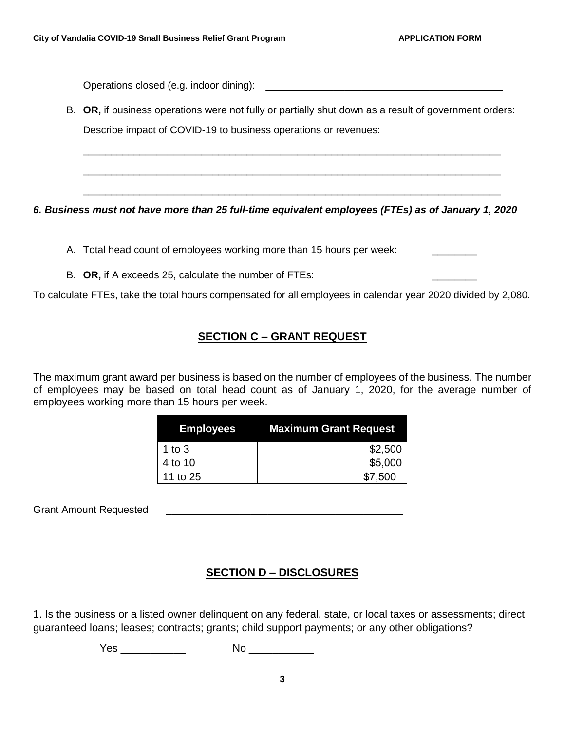Operations closed (e.g. indoor dining): \_\_\_\_\_\_\_\_\_\_\_\_\_\_\_\_\_\_\_\_\_\_\_\_\_\_\_\_\_\_\_\_\_\_\_\_\_\_\_\_\_\_

B. **OR,** if business operations were not fully or partially shut down as a result of government orders: Describe impact of COVID-19 to business operations or revenues:

\_\_\_\_\_\_\_\_\_\_\_\_\_\_\_\_\_\_\_\_\_\_\_\_\_\_\_\_\_\_\_\_\_\_\_\_\_\_\_\_\_\_\_\_\_\_\_\_\_\_\_\_\_\_\_\_\_\_\_\_\_\_\_\_\_\_\_\_\_\_\_\_\_\_

\_\_\_\_\_\_\_\_\_\_\_\_\_\_\_\_\_\_\_\_\_\_\_\_\_\_\_\_\_\_\_\_\_\_\_\_\_\_\_\_\_\_\_\_\_\_\_\_\_\_\_\_\_\_\_\_\_\_\_\_\_\_\_\_\_\_\_\_\_\_\_\_\_\_

\_\_\_\_\_\_\_\_\_\_\_\_\_\_\_\_\_\_\_\_\_\_\_\_\_\_\_\_\_\_\_\_\_\_\_\_\_\_\_\_\_\_\_\_\_\_\_\_\_\_\_\_\_\_\_\_\_\_\_\_\_\_\_\_\_\_\_\_\_\_\_\_\_\_

*6. Business must not have more than 25 full-time equivalent employees (FTEs) as of January 1, 2020*

- A. Total head count of employees working more than 15 hours per week:
- B. OR, if A exceeds 25, calculate the number of FTEs:

To calculate FTEs, take the total hours compensated for all employees in calendar year 2020 divided by 2,080.

### **SECTION C – GRANT REQUEST**

The maximum grant award per business is based on the number of employees of the business. The number of employees may be based on total head count as of January 1, 2020, for the average number of employees working more than 15 hours per week.

| <b>Employees</b> | <b>Maximum Grant Request</b> |
|------------------|------------------------------|
| 1 to $3$         | \$2,500                      |
| 4 to 10          | \$5,000                      |
| 11 to 25         | \$7,500                      |

Grant Amount Requested **Container and Amount Requested** 

### **SECTION D – DISCLOSURES**

1. Is the business or a listed owner delinquent on any federal, state, or local taxes or assessments; direct guaranteed loans; leases; contracts; grants; child support payments; or any other obligations?

Yes \_\_\_\_\_\_\_\_\_\_\_ No \_\_\_\_\_\_\_\_\_\_\_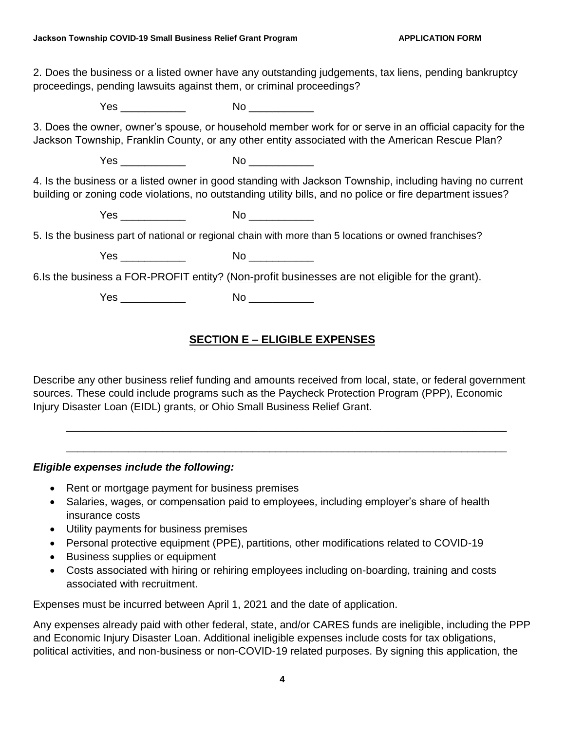2. Does the business or a listed owner have any outstanding judgements, tax liens, pending bankruptcy proceedings, pending lawsuits against them, or criminal proceedings?

Yes \_\_\_\_\_\_\_\_\_\_\_ No \_\_\_\_\_\_\_\_\_\_\_

3. Does the owner, owner's spouse, or household member work for or serve in an official capacity for the Jackson Township, Franklin County, or any other entity associated with the American Rescue Plan?

Yes \_\_\_\_\_\_\_\_\_\_\_ No \_\_\_\_\_\_\_\_\_\_\_

4. Is the business or a listed owner in good standing with Jackson Township, including having no current building or zoning code violations, no outstanding utility bills, and no police or fire department issues?

Yes \_\_\_\_\_\_\_\_\_\_\_\_\_\_ No \_\_\_\_\_\_\_\_\_\_\_\_\_

5. Is the business part of national or regional chain with more than 5 locations or owned franchises?

Yes \_\_\_\_\_\_\_\_\_\_\_ No \_\_\_\_\_\_\_\_\_\_\_

6.Is the business a FOR-PROFIT entity? (Non-profit businesses are not eligible for the grant).

Yes \_\_\_\_\_\_\_\_\_\_\_ No \_\_\_\_\_\_\_\_\_\_\_

### **SECTION E – ELIGIBLE EXPENSES**

Describe any other business relief funding and amounts received from local, state, or federal government sources. These could include programs such as the Paycheck Protection Program (PPP), Economic Injury Disaster Loan (EIDL) grants, or Ohio Small Business Relief Grant.

\_\_\_\_\_\_\_\_\_\_\_\_\_\_\_\_\_\_\_\_\_\_\_\_\_\_\_\_\_\_\_\_\_\_\_\_\_\_\_\_\_\_\_\_\_\_\_\_\_\_\_\_\_\_\_\_\_\_\_\_\_\_\_\_\_\_\_\_\_\_\_\_\_\_\_\_\_\_

\_\_\_\_\_\_\_\_\_\_\_\_\_\_\_\_\_\_\_\_\_\_\_\_\_\_\_\_\_\_\_\_\_\_\_\_\_\_\_\_\_\_\_\_\_\_\_\_\_\_\_\_\_\_\_\_\_\_\_\_\_\_\_\_\_\_\_\_\_\_\_\_\_\_\_\_\_\_

*Eligible expenses include the following:*

- Rent or mortgage payment for business premises
- Salaries, wages, or compensation paid to employees, including employer's share of health insurance costs
- Utility payments for business premises
- Personal protective equipment (PPE), partitions, other modifications related to COVID-19
- Business supplies or equipment
- Costs associated with hiring or rehiring employees including on-boarding, training and costs associated with recruitment.

Expenses must be incurred between April 1, 2021 and the date of application.

Any expenses already paid with other federal, state, and/or CARES funds are ineligible, including the PPP and Economic Injury Disaster Loan. Additional ineligible expenses include costs for tax obligations, political activities, and non-business or non-COVID-19 related purposes. By signing this application, the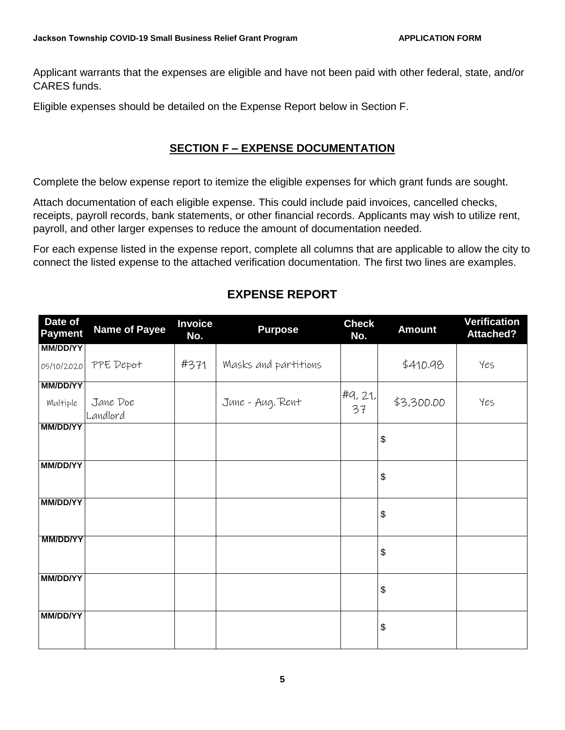Applicant warrants that the expenses are eligible and have not been paid with other federal, state, and/or CARES funds.

Eligible expenses should be detailed on the Expense Report below in Section F.

## **SECTION F – EXPENSE DOCUMENTATION**

Complete the below expense report to itemize the eligible expenses for which grant funds are sought.

Attach documentation of each eligible expense. This could include paid invoices, cancelled checks, receipts, payroll records, bank statements, or other financial records. Applicants may wish to utilize rent, payroll, and other larger expenses to reduce the amount of documentation needed.

For each expense listed in the expense report, complete all columns that are applicable to allow the city to connect the listed expense to the attached verification documentation. The first two lines are examples.

| Date of<br><b>Payment</b> | <b>Name of Payee</b> | <b>Invoice</b><br>No. | <b>Purpose</b>       | <b>Check</b><br>No. | <b>Amount</b>              | Verification<br><b>Attached?</b> |
|---------------------------|----------------------|-----------------------|----------------------|---------------------|----------------------------|----------------------------------|
| <b>MM/DD/YY</b>           |                      |                       |                      |                     |                            |                                  |
| 05/10/2020                | PPE Depot            | #371                  | Masks and partitions |                     | \$410.98                   | Yes                              |
| <b>MM/DD/YY</b>           |                      |                       |                      |                     |                            |                                  |
| Multiple                  | Jane Doe<br>Landlord |                       | June - Aug. Rent     | #9, 21,<br>37       | \$3,300.00                 | Yes                              |
| <b>MM/DD/YY</b>           |                      |                       |                      |                     |                            |                                  |
|                           |                      |                       |                      |                     | $\boldsymbol{\$}$          |                                  |
| <b>MM/DD/YY</b>           |                      |                       |                      |                     |                            |                                  |
|                           |                      |                       |                      |                     | $\boldsymbol{\theta}$      |                                  |
| <b>MM/DD/YY</b>           |                      |                       |                      |                     |                            |                                  |
|                           |                      |                       |                      |                     | $\boldsymbol{\mathsf{\$}}$ |                                  |
| <b>MM/DD/YY</b>           |                      |                       |                      |                     |                            |                                  |
|                           |                      |                       |                      |                     | \$                         |                                  |
| <b>MM/DD/YY</b>           |                      |                       |                      |                     |                            |                                  |
|                           |                      |                       |                      |                     | $\boldsymbol{\mathsf{\$}}$ |                                  |
|                           |                      |                       |                      |                     |                            |                                  |
| <b>MM/DD/YY</b>           |                      |                       |                      |                     |                            |                                  |
|                           |                      |                       |                      |                     | $\boldsymbol{\mathsf{\$}}$ |                                  |
|                           |                      |                       |                      |                     |                            |                                  |

# **EXPENSE REPORT**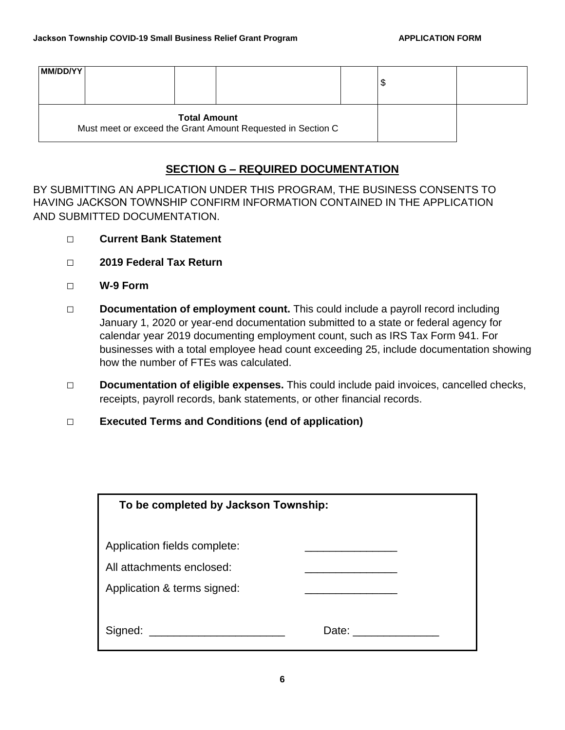| <b>MM/DD/YY</b>                                                                    |  |  |  | ' \$ |  |
|------------------------------------------------------------------------------------|--|--|--|------|--|
| <b>Total Amount</b><br>Must meet or exceed the Grant Amount Requested in Section C |  |  |  |      |  |

### **SECTION G – REQUIRED DOCUMENTATION**

BY SUBMITTING AN APPLICATION UNDER THIS PROGRAM, THE BUSINESS CONSENTS TO HAVING JACKSON TOWNSHIP CONFIRM INFORMATION CONTAINED IN THE APPLICATION AND SUBMITTED DOCUMENTATION.

- **□ Current Bank Statement**
- **□ 2019 Federal Tax Return**
- **□ W-9 Form**
- □ **Documentation of employment count.** This could include a payroll record including January 1, 2020 or year-end documentation submitted to a state or federal agency for calendar year 2019 documenting employment count, such as IRS Tax Form 941. For businesses with a total employee head count exceeding 25, include documentation showing how the number of FTEs was calculated.
- **□ Documentation of eligible expenses.** This could include paid invoices, cancelled checks, receipts, payroll records, bank statements, or other financial records.
- **□ Executed Terms and Conditions (end of application)**

| To be completed by Jackson Township: |  |  |  |
|--------------------------------------|--|--|--|
|                                      |  |  |  |
| Application fields complete:         |  |  |  |
| All attachments enclosed:            |  |  |  |
| Application & terms signed:          |  |  |  |
|                                      |  |  |  |
|                                      |  |  |  |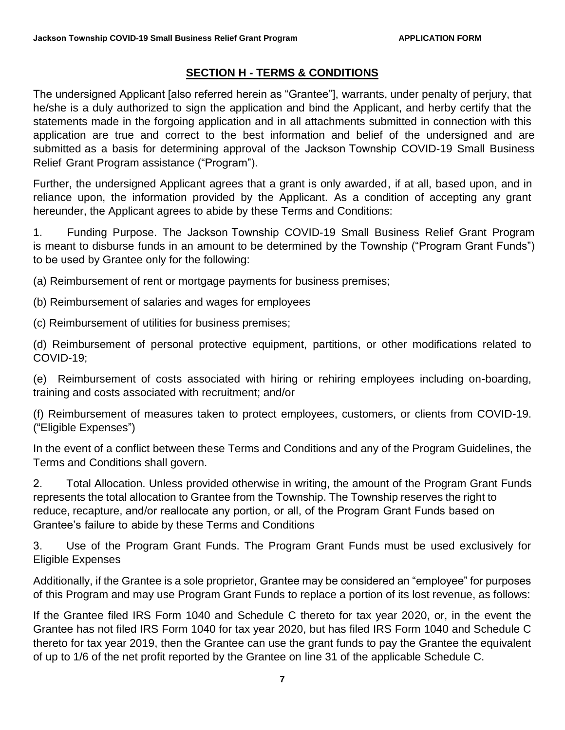#### **SECTION H - TERMS & CONDITIONS**

The undersigned Applicant [also referred herein as "Grantee"], warrants, under penalty of perjury, that he/she is a duly authorized to sign the application and bind the Applicant, and herby certify that the statements made in the forgoing application and in all attachments submitted in connection with this application are true and correct to the best information and belief of the undersigned and are submitted as a basis for determining approval of the Jackson Township COVID-19 Small Business Relief Grant Program assistance ("Program").

Further, the undersigned Applicant agrees that a grant is only awarded, if at all, based upon, and in reliance upon, the information provided by the Applicant. As a condition of accepting any grant hereunder, the Applicant agrees to abide by these Terms and Conditions:

1. Funding Purpose. The Jackson Township COVID-19 Small Business Relief Grant Program is meant to disburse funds in an amount to be determined by the Township ("Program Grant Funds") to be used by Grantee only for the following:

(a) Reimbursement of rent or mortgage payments for business premises;

(b) Reimbursement of salaries and wages for employees

(c) Reimbursement of utilities for business premises;

(d) Reimbursement of personal protective equipment, partitions, or other modifications related to COVID-19;

(e) Reimbursement of costs associated with hiring or rehiring employees including on-boarding, training and costs associated with recruitment; and/or

(f) Reimbursement of measures taken to protect employees, customers, or clients from COVID-19. ("Eligible Expenses")

In the event of a conflict between these Terms and Conditions and any of the Program Guidelines, the Terms and Conditions shall govern.

2. Total Allocation. Unless provided otherwise in writing, the amount of the Program Grant Funds represents the total allocation to Grantee from the Township. The Township reserves the right to reduce, recapture, and/or reallocate any portion, or all, of the Program Grant Funds based on Grantee's failure to abide by these Terms and Conditions

3. Use of the Program Grant Funds. The Program Grant Funds must be used exclusively for Eligible Expenses

Additionally, if the Grantee is a sole proprietor, Grantee may be considered an "employee" for purposes of this Program and may use Program Grant Funds to replace a portion of its lost revenue, as follows:

If the Grantee filed IRS Form 1040 and Schedule C thereto for tax year 2020, or, in the event the Grantee has not filed IRS Form 1040 for tax year 2020, but has filed IRS Form 1040 and Schedule C thereto for tax year 2019, then the Grantee can use the grant funds to pay the Grantee the equivalent of up to 1/6 of the net profit reported by the Grantee on line 31 of the applicable Schedule C.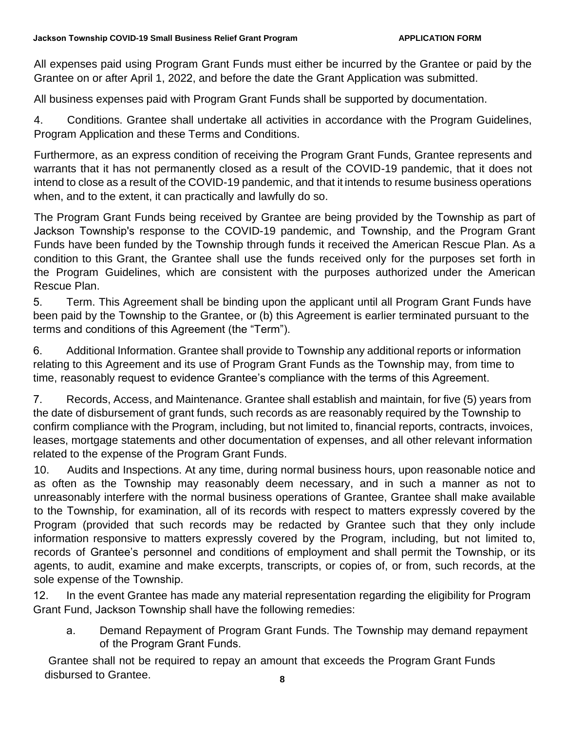All expenses paid using Program Grant Funds must either be incurred by the Grantee or paid by the Grantee on or after April 1, 2022, and before the date the Grant Application was submitted.

All business expenses paid with Program Grant Funds shall be supported by documentation.

4. Conditions. Grantee shall undertake all activities in accordance with the Program Guidelines, Program Application and these Terms and Conditions.

Furthermore, as an express condition of receiving the Program Grant Funds, Grantee represents and warrants that it has not permanently closed as a result of the COVID-19 pandemic, that it does not intend to close as a result of the COVID-19 pandemic, and that it intends to resume business operations when, and to the extent, it can practically and lawfully do so.

The Program Grant Funds being received by Grantee are being provided by the Township as part of Jackson Township's response to the COVID-19 pandemic, and Township, and the Program Grant Funds have been funded by the Township through funds it received the American Rescue Plan. As a condition to this Grant, the Grantee shall use the funds received only for the purposes set forth in the Program Guidelines, which are consistent with the purposes authorized under the American Rescue Plan.

5. Term. This Agreement shall be binding upon the applicant until all Program Grant Funds have been paid by the Township to the Grantee, or (b) this Agreement is earlier terminated pursuant to the terms and conditions of this Agreement (the "Term").

6. Additional Information. Grantee shall provide to Township any additional reports or information relating to this Agreement and its use of Program Grant Funds as the Township may, from time to time, reasonably request to evidence Grantee's compliance with the terms of this Agreement.

7. Records, Access, and Maintenance. Grantee shall establish and maintain, for five (5) years from the date of disbursement of grant funds, such records as are reasonably required by the Township to confirm compliance with the Program, including, but not limited to, financial reports, contracts, invoices, leases, mortgage statements and other documentation of expenses, and all other relevant information related to the expense of the Program Grant Funds.

10. Audits and Inspections. At any time, during normal business hours, upon reasonable notice and as often as the Township may reasonably deem necessary, and in such a manner as not to unreasonably interfere with the normal business operations of Grantee, Grantee shall make available to the Township, for examination, all of its records with respect to matters expressly covered by the Program (provided that such records may be redacted by Grantee such that they only include information responsive to matters expressly covered by the Program, including, but not limited to, records of Grantee's personnel and conditions of employment and shall permit the Township, or its agents, to audit, examine and make excerpts, transcripts, or copies of, or from, such records, at the sole expense of the Township.

12. In the event Grantee has made any material representation regarding the eligibility for Program Grant Fund, Jackson Township shall have the following remedies:

a. Demand Repayment of Program Grant Funds. The Township may demand repayment of the Program Grant Funds.

**8** Grantee shall not be required to repay an amount that exceeds the Program Grant Funds disbursed to Grantee.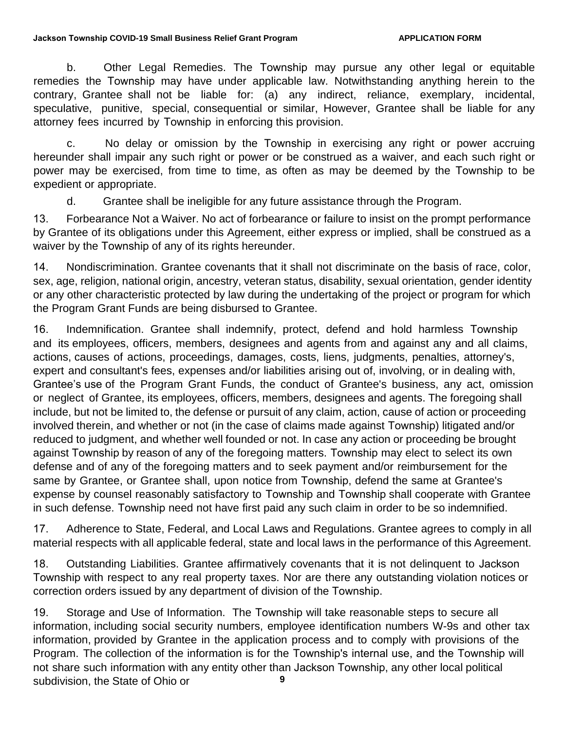b. Other Legal Remedies. The Township may pursue any other legal or equitable remedies the Township may have under applicable law. Notwithstanding anything herein to the contrary, Grantee shall not be liable for: (a) any indirect, reliance, exemplary, incidental, speculative, punitive, special, consequential or similar, However, Grantee shall be liable for any attorney fees incurred by Township in enforcing this provision.

c. No delay or omission by the Township in exercising any right or power accruing hereunder shall impair any such right or power or be construed as a waiver, and each such right or power may be exercised, from time to time, as often as may be deemed by the Township to be expedient or appropriate.

d. Grantee shall be ineligible for any future assistance through the Program.

13. Forbearance Not a Waiver. No act of forbearance or failure to insist on the prompt performance by Grantee of its obligations under this Agreement, either express or implied, shall be construed as a waiver by the Township of any of its rights hereunder.

14. Nondiscrimination. Grantee covenants that it shall not discriminate on the basis of race, color, sex, age, religion, national origin, ancestry, veteran status, disability, sexual orientation, gender identity or any other characteristic protected by law during the undertaking of the project or program for which the Program Grant Funds are being disbursed to Grantee.

16. Indemnification. Grantee shall indemnify, protect, defend and hold harmless Township and its employees, officers, members, designees and agents from and against any and all claims, actions, causes of actions, proceedings, damages, costs, liens, judgments, penalties, attorney's, expert and consultant's fees, expenses and/or liabilities arising out of, involving, or in dealing with, Grantee's use of the Program Grant Funds, the conduct of Grantee's business, any act, omission or neglect of Grantee, its employees, officers, members, designees and agents. The foregoing shall include, but not be limited to, the defense or pursuit of any claim, action, cause of action or proceeding involved therein, and whether or not (in the case of claims made against Township) litigated and/or reduced to judgment, and whether well founded or not. In case any action or proceeding be brought against Township by reason of any of the foregoing matters. Township may elect to select its own defense and of any of the foregoing matters and to seek payment and/or reimbursement for the same by Grantee, or Grantee shall, upon notice from Township, defend the same at Grantee's expense by counsel reasonably satisfactory to Township and Township shall cooperate with Grantee in such defense. Township need not have first paid any such claim in order to be so indemnified.

17. Adherence to State, Federal, and Local Laws and Regulations. Grantee agrees to comply in all material respects with all applicable federal, state and local laws in the performance of this Agreement.

18. Outstanding Liabilities. Grantee affirmatively covenants that it is not delinquent to Jackson Township with respect to any real property taxes. Nor are there any outstanding violation notices or correction orders issued by any department of division of the Township.

**9** 19. Storage and Use of Information. The Township will take reasonable steps to secure all information, including social security numbers, employee identification numbers W-9s and other tax information, provided by Grantee in the application process and to comply with provisions of the Program. The collection of the information is for the Township's internal use, and the Township will not share such information with any entity other than Jackson Township, any other local political subdivision, the State of Ohio or